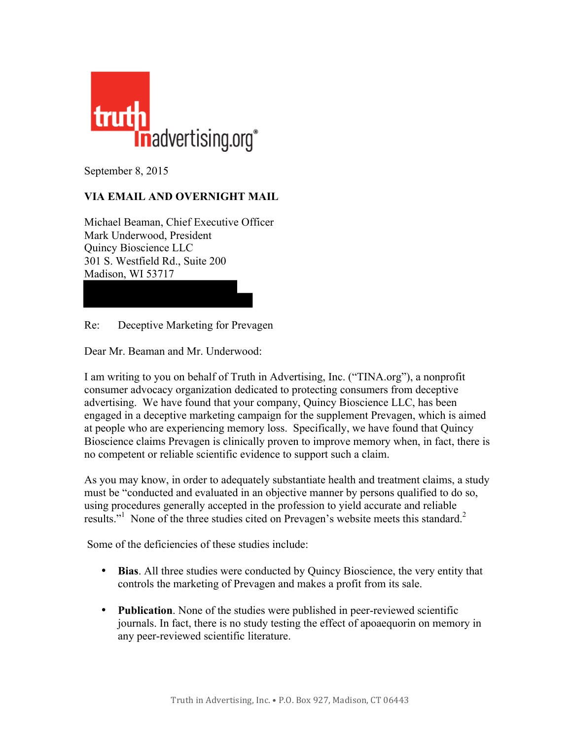

September 8, 2015

## **VIA EMAIL AND OVERNIGHT MAIL**

Michael Beaman, Chief Executive Officer Mark Underwood, President Quincy Bioscience LLC 301 S. Westfield Rd., Suite 200 Madison, WI 53717

Re: Deceptive Marketing for Prevagen

Dear Mr. Beaman and Mr. Underwood:

I am writing to you on behalf of Truth in Advertising, Inc. ("TINA.org"), a nonprofit consumer advocacy organization dedicated to protecting consumers from deceptive advertising. We have found that your company, Quincy Bioscience LLC, has been engaged in a deceptive marketing campaign for the supplement Prevagen, which is aimed at people who are experiencing memory loss. Specifically, we have found that Quincy Bioscience claims Prevagen is clinically proven to improve memory when, in fact, there is no competent or reliable scientific evidence to support such a claim.

As you may know, in order to adequately substantiate health and treatment claims, a study must be "conducted and evaluated in an objective manner by persons qualified to do so, using procedures generally accepted in the profession to yield accurate and reliable results."<sup>1</sup> None of the three studies cited on Prevagen's website meets this standard.<sup>2</sup>

Some of the deficiencies of these studies include:

- **Bias**. All three studies were conducted by Quincy Bioscience, the very entity that controls the marketing of Prevagen and makes a profit from its sale.
- **Publication**. None of the studies were published in peer-reviewed scientific journals. In fact, there is no study testing the effect of apoaequorin on memory in any peer-reviewed scientific literature.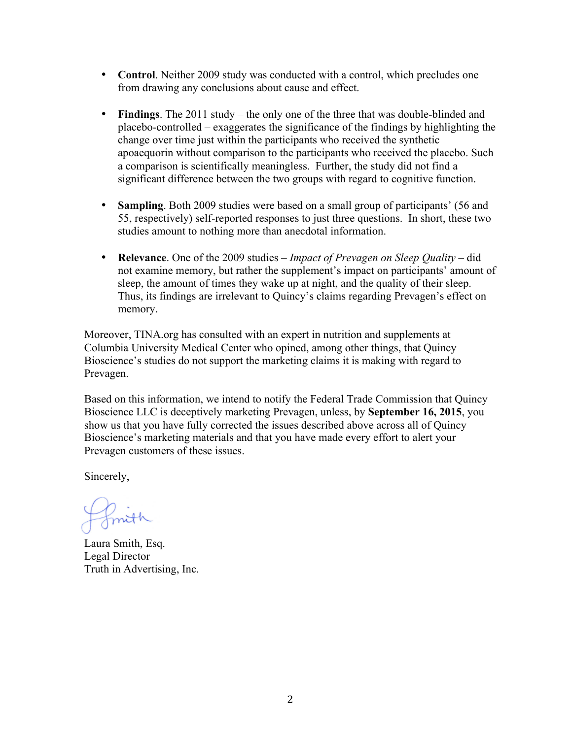- **Control**. Neither 2009 study was conducted with a control, which precludes one from drawing any conclusions about cause and effect.
- **Findings**. The 2011 study the only one of the three that was double-blinded and placebo-controlled – exaggerates the significance of the findings by highlighting the change over time just within the participants who received the synthetic apoaequorin without comparison to the participants who received the placebo. Such a comparison is scientifically meaningless. Further, the study did not find a significant difference between the two groups with regard to cognitive function.
- **Sampling**. Both 2009 studies were based on a small group of participants' (56 and 55, respectively) self-reported responses to just three questions. In short, these two studies amount to nothing more than anecdotal information.
- **Relevance**. One of the 2009 studies *Impact of Prevagen on Sleep Quality –* did not examine memory, but rather the supplement's impact on participants' amount of sleep, the amount of times they wake up at night, and the quality of their sleep. Thus, its findings are irrelevant to Quincy's claims regarding Prevagen's effect on memory.

Moreover, TINA.org has consulted with an expert in nutrition and supplements at Columbia University Medical Center who opined, among other things, that Quincy Bioscience's studies do not support the marketing claims it is making with regard to Prevagen.

Based on this information, we intend to notify the Federal Trade Commission that Quincy Bioscience LLC is deceptively marketing Prevagen, unless, by **September 16, 2015**, you show us that you have fully corrected the issues described above across all of Quincy Bioscience's marketing materials and that you have made every effort to alert your Prevagen customers of these issues.

Sincerely,

fmith

Laura Smith, Esq. Legal Director Truth in Advertising, Inc.